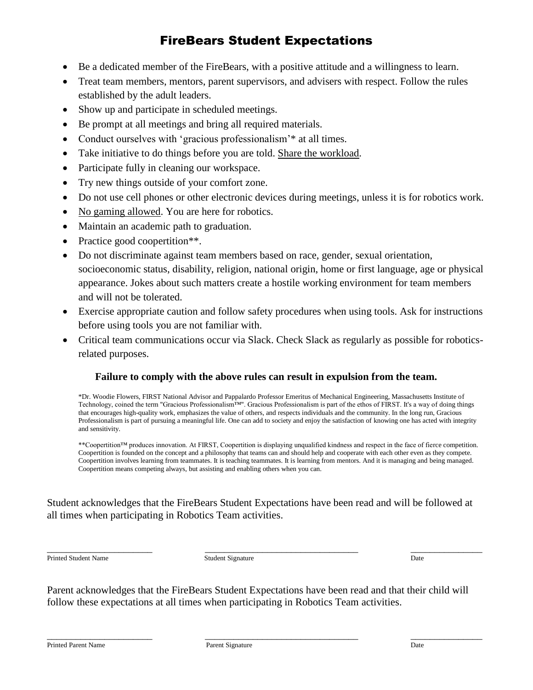## FireBears Student Expectations

- Be a dedicated member of the FireBears, with a positive attitude and a willingness to learn.
- Treat team members, mentors, parent supervisors, and advisers with respect. Follow the rules established by the adult leaders.
- Show up and participate in scheduled meetings.
- Be prompt at all meetings and bring all required materials.
- Conduct ourselves with 'gracious professionalism'\* at all times.
- Take initiative to do things before you are told. Share the workload.
- Participate fully in cleaning our workspace.
- Try new things outside of your comfort zone.
- Do not use cell phones or other electronic devices during meetings, unless it is for robotics work.
- No gaming allowed. You are here for robotics.
- Maintain an academic path to graduation.
- Practice good coopertition\*\*.
- Do not discriminate against team members based on race, gender, sexual orientation, socioeconomic status, disability, religion, national origin, home or first language, age or physical appearance. Jokes about such matters create a hostile working environment for team members and will not be tolerated.
- Exercise appropriate caution and follow safety procedures when using tools. Ask for instructions before using tools you are not familiar with.
- Critical team communications occur via Slack. Check Slack as regularly as possible for roboticsrelated purposes.

## **Failure to comply with the above rules can result in expulsion from the team.**

\*Dr. Woodie Flowers, FIRST National Advisor and Pappalardo Professor Emeritus of Mechanical Engineering, Massachusetts Institute of Technology, coined the term "Gracious Professionalism™". Gracious Professionalism is part of the ethos of FIRST. It's a way of doing things that encourages high-quality work, emphasizes the value of others, and respects individuals and the community. In the long run, Gracious Professionalism is part of pursuing a meaningful life. One can add to society and enjoy the satisfaction of knowing one has acted with integrity and sensitivity.

\*\*Coopertition™ produces innovation. At FIRST, Coopertition is displaying unqualified kindness and respect in the face of fierce competition. Coopertition is founded on the concept and a philosophy that teams can and should help and cooperate with each other even as they compete. Coopertition involves learning from teammates. It is teaching teammates. It is learning from mentors. And it is managing and being managed. Coopertition means competing always, but assisting and enabling others when you can.

Student acknowledges that the FireBears Student Expectations have been read and will be followed at all times when participating in Robotics Team activities.

\_\_\_\_\_\_\_\_\_\_\_\_\_\_\_\_\_\_\_\_\_\_ \_\_\_\_\_\_\_\_\_\_\_\_\_\_\_\_\_\_\_\_\_\_\_\_\_\_\_\_\_\_\_\_ \_\_\_\_\_\_\_\_\_\_\_\_\_\_\_

Printed Student Name Date Student Signature Date Student Signature Date Date Name Date

Parent acknowledges that the FireBears Student Expectations have been read and that their child will follow these expectations at all times when participating in Robotics Team activities.

\_\_\_\_\_\_\_\_\_\_\_\_\_\_\_\_\_\_\_\_\_\_ \_\_\_\_\_\_\_\_\_\_\_\_\_\_\_\_\_\_\_\_\_\_\_\_\_\_\_\_\_\_\_\_ \_\_\_\_\_\_\_\_\_\_\_\_\_\_\_

Printed Parent Name **Parent Signature** Parent Signature **Parent Signature** Date